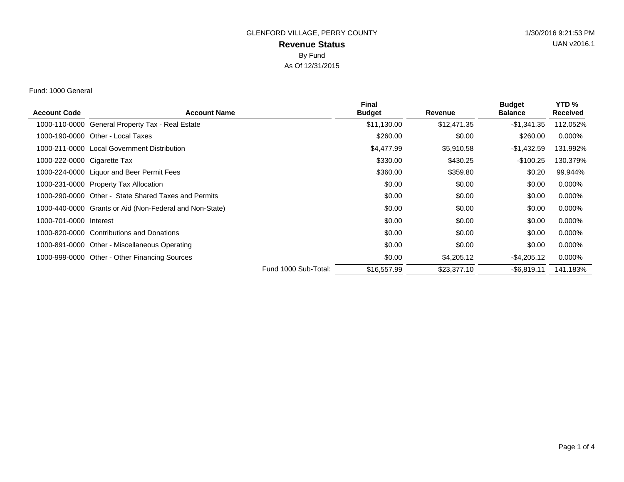### Fund: 1000 General

| <b>Account Code</b>         | <b>Account Name</b>                                     |                      | <b>Final</b><br><b>Budget</b> | <b>Revenue</b> | <b>Budget</b><br><b>Balance</b> | YTD <sub>%</sub><br><b>Received</b> |
|-----------------------------|---------------------------------------------------------|----------------------|-------------------------------|----------------|---------------------------------|-------------------------------------|
| 1000-110-0000               | <b>General Property Tax - Real Estate</b>               |                      | \$11,130.00                   | \$12,471.35    | $-$1,341.35$                    | 112.052%                            |
| 1000-190-0000               | Other - Local Taxes                                     |                      | \$260.00                      | \$0.00         | \$260.00                        | $0.000\%$                           |
|                             | 1000-211-0000 Local Government Distribution             |                      | \$4,477.99                    | \$5,910.58     | -\$1,432.59                     | 131.992%                            |
| 1000-222-0000 Cigarette Tax |                                                         |                      | \$330.00                      | \$430.25       | $-$100.25$                      | 130.379%                            |
|                             | 1000-224-0000 Liquor and Beer Permit Fees               |                      | \$360.00                      | \$359.80       | \$0.20                          | 99.944%                             |
|                             | 1000-231-0000 Property Tax Allocation                   |                      | \$0.00                        | \$0.00         | \$0.00                          | 0.000%                              |
| 1000-290-0000               | Other - State Shared Taxes and Permits                  |                      | \$0.00                        | \$0.00         | \$0.00                          | $0.000\%$                           |
|                             | 1000-440-0000 Grants or Aid (Non-Federal and Non-State) |                      | \$0.00                        | \$0.00         | \$0.00                          | $0.000\%$                           |
| 1000-701-0000 Interest      |                                                         |                      | \$0.00                        | \$0.00         | \$0.00                          | $0.000\%$                           |
| 1000-820-0000               | <b>Contributions and Donations</b>                      |                      | \$0.00                        | \$0.00         | \$0.00                          | $0.000\%$                           |
| 1000-891-0000               | Other - Miscellaneous Operating                         |                      | \$0.00                        | \$0.00         | \$0.00                          | $0.000\%$                           |
|                             | 1000-999-0000 Other - Other Financing Sources           |                      | \$0.00                        | \$4,205.12     | -\$4,205.12                     | 0.000%                              |
|                             |                                                         | Fund 1000 Sub-Total: | \$16,557.99                   | \$23,377.10    | $-$6.819.11$                    | 141.183%                            |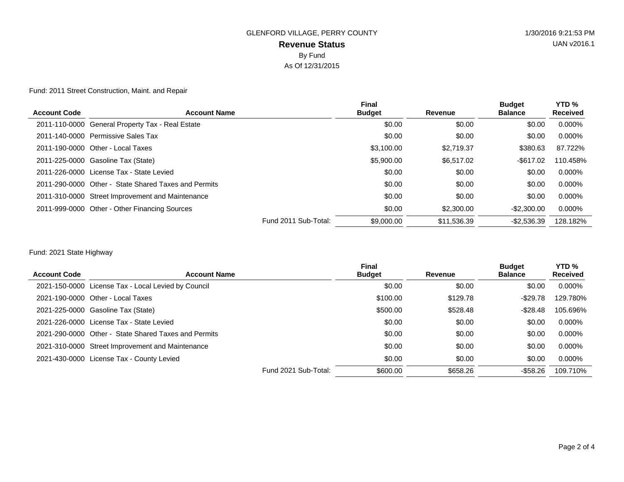Fund: 2011 Street Construction, Maint. and Repair

| <b>Account Code</b> | <b>Account Name</b>                                  | <b>Final</b><br><b>Budget</b> | Revenue     | <b>Budget</b><br><b>Balance</b> | YTD <sub>%</sub><br><b>Received</b> |
|---------------------|------------------------------------------------------|-------------------------------|-------------|---------------------------------|-------------------------------------|
|                     |                                                      |                               |             |                                 |                                     |
|                     | 2011-110-0000 General Property Tax - Real Estate     | \$0.00                        | \$0.00      | \$0.00                          | $0.000\%$                           |
|                     | 2011-140-0000 Permissive Sales Tax                   | \$0.00                        | \$0.00      | \$0.00                          | $0.000\%$                           |
|                     | 2011-190-0000 Other - Local Taxes                    | \$3,100.00                    | \$2,719.37  | \$380.63                        | 87.722%                             |
|                     | 2011-225-0000 Gasoline Tax (State)                   | \$5,900.00                    | \$6.517.02  | $-$ \$617.02                    | 110.458%                            |
|                     | 2011-226-0000 License Tax - State Levied             | \$0.00                        | \$0.00      | \$0.00                          | $0.000\%$                           |
|                     | 2011-290-0000 Other - State Shared Taxes and Permits | \$0.00                        | \$0.00      | \$0.00                          | $0.000\%$                           |
|                     | 2011-310-0000 Street Improvement and Maintenance     | \$0.00                        | \$0.00      | \$0.00                          | $0.000\%$                           |
|                     | 2011-999-0000 Other - Other Financing Sources        | \$0.00                        | \$2,300,00  | $-$ \$2,300,00                  | 0.000%                              |
|                     | Fund 2011 Sub-Total:                                 | \$9,000,00                    | \$11.536.39 | $-$2.536.39$                    | 128.182%                            |
|                     |                                                      |                               |             |                                 |                                     |

### Fund: 2021 State Highway

| <b>Account Code</b> | <b>Account Name</b>                                  | <b>Final</b><br><b>Budget</b>    | Revenue  | <b>Budget</b><br><b>Balance</b> | YTD <sub>%</sub><br><b>Received</b> |
|---------------------|------------------------------------------------------|----------------------------------|----------|---------------------------------|-------------------------------------|
|                     | 2021-150-0000 License Tax - Local Levied by Council  | \$0.00                           | \$0.00   | \$0.00                          | $0.000\%$                           |
|                     | 2021-190-0000 Other - Local Taxes                    | \$100.00                         | \$129.78 | $-$ \$29.78                     | 129.780%                            |
|                     | 2021-225-0000 Gasoline Tax (State)                   | \$500.00                         | \$528.48 | $-$ \$28.48                     | 105.696%                            |
|                     | 2021-226-0000 License Tax - State Levied             | \$0.00                           | \$0.00   | \$0.00                          | 0.000%                              |
|                     | 2021-290-0000 Other - State Shared Taxes and Permits | \$0.00                           | \$0.00   | \$0.00                          | 0.000%                              |
|                     | 2021-310-0000 Street Improvement and Maintenance     | \$0.00                           | \$0.00   | \$0.00                          | 0.000%                              |
|                     | 2021-430-0000 License Tax - County Levied            | \$0.00                           | \$0.00   | \$0.00                          | 0.000%                              |
|                     |                                                      | Fund 2021 Sub-Total:<br>\$600.00 | \$658.26 | -\$58.26                        | 109.710%                            |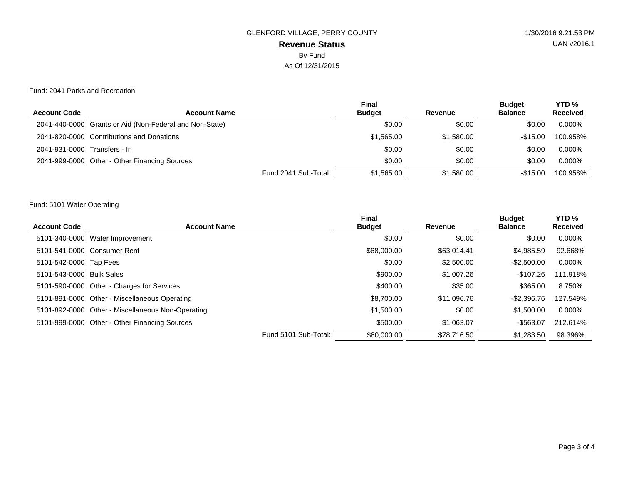#### Fund: 2041 Parks and Recreation

|                              |                                                         | <b>Final</b>  |            | <b>Budget</b>  | YTD <sub>%</sub> |
|------------------------------|---------------------------------------------------------|---------------|------------|----------------|------------------|
| <b>Account Code</b>          | <b>Account Name</b>                                     | <b>Budget</b> | Revenue    | <b>Balance</b> | <b>Received</b>  |
|                              | 2041-440-0000 Grants or Aid (Non-Federal and Non-State) | \$0.00        | \$0.00     | \$0.00         | $0.000\%$        |
|                              | 2041-820-0000 Contributions and Donations               | \$1,565.00    | \$1,580,00 | $-\$15.00$     | 100.958%         |
| 2041-931-0000 Transfers - In |                                                         | \$0.00        | \$0.00     | \$0.00         | $0.000\%$        |
|                              | 2041-999-0000 Other - Other Financing Sources           | \$0.00        | \$0.00     | \$0.00         | $0.000\%$        |
|                              | Fund 2041 Sub-Total:                                    | \$1,565.00    | \$1,580,00 | $-$15.00$      | 100.958%         |

### Fund: 5101 Water Operating

|                          |                                                   |                      | <b>Final</b>  |             | <b>Budget</b>  | YTD <sub>%</sub> |
|--------------------------|---------------------------------------------------|----------------------|---------------|-------------|----------------|------------------|
| <b>Account Code</b>      | <b>Account Name</b>                               |                      | <b>Budget</b> | Revenue     | <b>Balance</b> | <b>Received</b>  |
| 5101-340-0000            | Water Improvement                                 |                      | \$0.00        | \$0.00      | \$0.00         | $0.000\%$        |
|                          | 5101-541-0000 Consumer Rent                       |                      | \$68,000,00   | \$63.014.41 | \$4.985.59     | 92.668%          |
| 5101-542-0000 Tap Fees   |                                                   |                      | \$0.00        | \$2,500.00  | $-$2.500.00$   | $0.000\%$        |
| 5101-543-0000 Bulk Sales |                                                   |                      | \$900.00      | \$1,007.26  | $-$107.26$     | 111.918%         |
|                          | 5101-590-0000 Other - Charges for Services        |                      | \$400.00      | \$35.00     | \$365.00       | 8.750%           |
|                          | 5101-891-0000 Other - Miscellaneous Operating     |                      | \$8,700,00    | \$11,096.76 | -\$2.396.76    | 127.549%         |
|                          | 5101-892-0000 Other - Miscellaneous Non-Operating |                      | \$1,500.00    | \$0.00      | \$1,500.00     | $0.000\%$        |
|                          | 5101-999-0000 Other - Other Financing Sources     |                      | \$500.00      | \$1,063.07  | -\$563.07      | 212.614%         |
|                          |                                                   | Fund 5101 Sub-Total: | \$80,000,00   | \$78.716.50 | \$1,283.50     | 98.396%          |